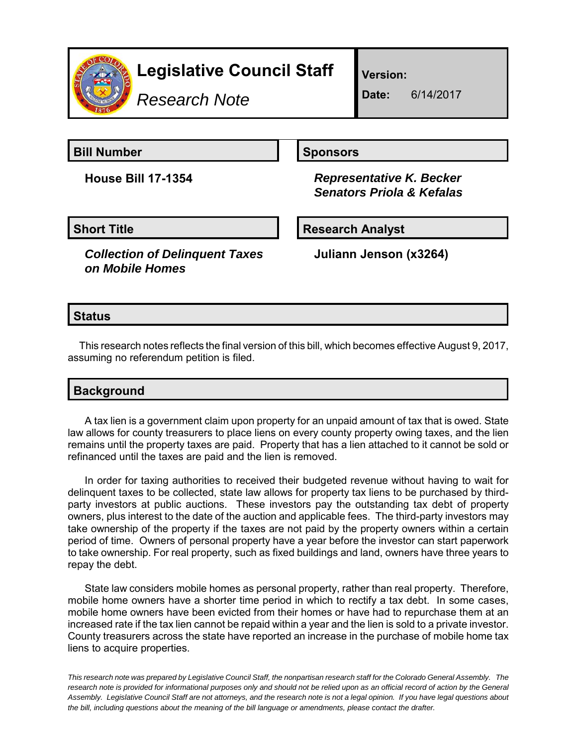

# **Legislative Council Staff**

*Research Note*

**Version:**

**Date:** 6/14/2017

**Bill Number Sponsors** 

**House Bill 17-1354** *Representative K. Becker Senators Priola & Kefalas*

**Short Title Community Community Community Research Analyst** 

*Collection of Delinquent Taxes on Mobile Homes*

**Juliann Jenson (x3264)**

## **Status**

This research notes reflects the final version of this bill, which becomes effective August 9, 2017, assuming no referendum petition is filed.

## **Background**

A tax lien is a government claim upon property for an unpaid amount of tax that is owed. State law allows for county treasurers to place liens on every county property owing taxes, and the lien remains until the property taxes are paid. Property that has a lien attached to it cannot be sold or refinanced until the taxes are paid and the lien is removed.

In order for taxing authorities to received their budgeted revenue without having to wait for delinquent taxes to be collected, state law allows for property tax liens to be purchased by thirdparty investors at public auctions. These investors pay the outstanding tax debt of property owners, plus interest to the date of the auction and applicable fees. The third-party investors may take ownership of the property if the taxes are not paid by the property owners within a certain period of time. Owners of personal property have a year before the investor can start paperwork to take ownership. For real property, such as fixed buildings and land, owners have three years to repay the debt.

State law considers mobile homes as personal property, rather than real property. Therefore, mobile home owners have a shorter time period in which to rectify a tax debt. In some cases, mobile home owners have been evicted from their homes or have had to repurchase them at an increased rate if the tax lien cannot be repaid within a year and the lien is sold to a private investor. County treasurers across the state have reported an increase in the purchase of mobile home tax liens to acquire properties.

*This research note was prepared by Legislative Council Staff, the nonpartisan research staff for the Colorado General Assembly. The research note is provided for informational purposes only and should not be relied upon as an official record of action by the General Assembly. Legislative Council Staff are not attorneys, and the research note is not a legal opinion. If you have legal questions about the bill, including questions about the meaning of the bill language or amendments, please contact the drafter.*